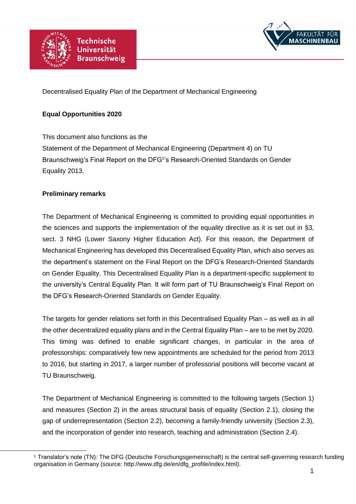



Decentralised Equality Plan of the Department of Mechanical Engineering

## **Equal Opportunities 2020**

This document also functions as the Statement of the Department of Mechanical Engineering (Department 4) on TU Braunschweig's Final Report on the DFG<sup>1</sup>'s Research-Oriented Standards on Gender Equality 2013.

### **Preliminary remarks**

 $\overline{a}$ 

The Department of Mechanical Engineering is committed to providing equal opportunities in the sciences and supports the implementation of the equality directive as it is set out in §3, sect. 3 NHG (Lower Saxony Higher Education Act). For this reason, the Department of Mechanical Engineering has developed this Decentralised Equality Plan, which also serves as the department's statement on the Final Report on the DFG's Research-Oriented Standards on Gender Equality. This Decentralised Equality Plan is a department-specific supplement to the university's Central Equality Plan. It will form part of TU Braunschweig's Final Report on the DFG's Research-Oriented Standards on Gender Equality.

The targets for gender relations set forth in this Decentralised Equality Plan – as well as in all the other decentralized equality plans and in the Central Equality Plan – are to be met by 2020. This timing was defined to enable significant changes, in particular in the area of professorships: comparatively few new appointments are scheduled for the period from 2013 to 2016, but starting in 2017, a larger number of professorial positions will become vacant at TU Braunschweig.

The Department of Mechanical Engineering is committed to the following targets (Section 1) and measures (Section 2) in the areas structural basis of equality (Section 2.1), closing the gap of underrepresentation (Section 2.2), becoming a family-friendly university (Section 2.3), and the incorporation of gender into research, teaching and administration (Section 2.4).

<sup>&</sup>lt;sup>1</sup> Translator's note (TN): The DFG (Deutsche Forschungsgemeinschaft) is the central self-governing research funding organisation in Germany (source: http://www.dfg.de/en/dfg\_profile/index.html).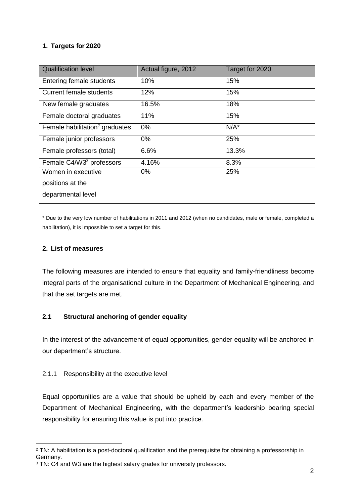# **1. Targets for 2020**

| <b>Qualification level</b>                 | Actual figure, 2012 | Target for 2020 |
|--------------------------------------------|---------------------|-----------------|
| Entering female students                   | 10%                 | 15%             |
| <b>Current female students</b>             | 12%                 | 15%             |
| New female graduates                       | 16.5%               | 18%             |
| Female doctoral graduates                  | 11%                 | 15%             |
| Female habilitation <sup>2</sup> graduates | 0%                  | $N/A^*$         |
| Female junior professors                   | $0\%$               | 25%             |
| Female professors (total)                  | 6.6%                | 13.3%           |
| Female C4/W3 <sup>3</sup> professors       | 4.16%               | 8.3%            |
| Women in executive                         | 0%                  | 25%             |
| positions at the                           |                     |                 |
| departmental level                         |                     |                 |
|                                            |                     |                 |

\* Due to the very low number of habilitations in 2011 and 2012 (when no candidates, male or female, completed a habilitation), it is impossible to set a target for this.

#### **2. List of measures**

The following measures are intended to ensure that equality and family-friendliness become integral parts of the organisational culture in the Department of Mechanical Engineering, and that the set targets are met.

## **2.1 Structural anchoring of gender equality**

In the interest of the advancement of equal opportunities, gender equality will be anchored in our department's structure.

#### 2.1.1 Responsibility at the executive level

Equal opportunities are a value that should be upheld by each and every member of the Department of Mechanical Engineering, with the department's leadership bearing special responsibility for ensuring this value is put into practice.

 <sup>2</sup> TN: A habilitation is a post-doctoral qualification and the prerequisite for obtaining a professorship in Germany.

<sup>&</sup>lt;sup>3</sup> TN: C4 and W3 are the highest salary grades for university professors.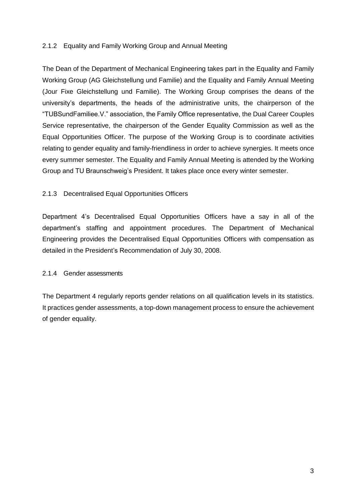## 2.1.2 Equality and Family Working Group and Annual Meeting

The Dean of the Department of Mechanical Engineering takes part in the Equality and Family Working Group (AG Gleichstellung und Familie) and the Equality and Family Annual Meeting (Jour Fixe Gleichstellung und Familie). The Working Group comprises the deans of the university's departments, the heads of the administrative units, the chairperson of the "TUBSundFamiliee.V." association, the Family Office representative, the Dual Career Couples Service representative, the chairperson of the Gender Equality Commission as well as the Equal Opportunities Officer. The purpose of the Working Group is to coordinate activities relating to gender equality and family-friendliness in order to achieve synergies. It meets once every summer semester. The Equality and Family Annual Meeting is attended by the Working Group and TU Braunschweig's President. It takes place once every winter semester.

### 2.1.3 Decentralised Equal Opportunities Officers

Department 4's Decentralised Equal Opportunities Officers have a say in all of the department's staffing and appointment procedures. The Department of Mechanical Engineering provides the Decentralised Equal Opportunities Officers with compensation as detailed in the President's Recommendation of July 30, 2008.

### 2.1.4 Gender assessments

The Department 4 regularly reports gender relations on all qualification levels in its statistics. It practices gender assessments, a top-down management process to ensure the achievement of gender equality.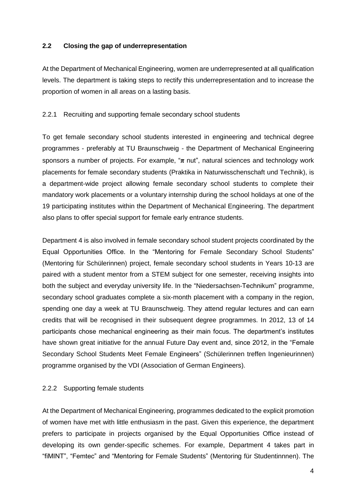### **2.2 Closing the gap of underrepresentation**

At the Department of Mechanical Engineering, women are underrepresented at all qualification levels. The department is taking steps to rectify this underrepresentation and to increase the proportion of women in all areas on a lasting basis.

### 2.2.1 Recruiting and supporting female secondary school students

To get female secondary school students interested in engineering and technical degree programmes - preferably at TU Braunschweig - the Department of Mechanical Engineering sponsors a number of projects. For example, "**π** nut", natural sciences and technology work placements for female secondary students (Praktika in Naturwisschenschaft und Technik), is a department-wide project allowing female secondary school students to complete their mandatory work placements or a voluntary internship during the school holidays at one of the 19 participating institutes within the Department of Mechanical Engineering. The department also plans to offer special support for female early entrance students.

Department 4 is also involved in female secondary school student projects coordinated by the Equal Opportunities Office. In the "Mentoring for Female Secondary School Students" (Mentoring für Schülerinnen) project, female secondary school students in Years 10-13 are paired with a student mentor from a STEM subject for one semester, receiving insights into both the subject and everyday university life. In the "Niedersachsen-Technikum" programme, secondary school graduates complete a six-month placement with a company in the region, spending one day a week at TU Braunschweig. They attend regular lectures and can earn credits that will be recognised in their subsequent degree programmes. In 2012, 13 of 14 participants chose mechanical engineering as their main focus. The department's institutes have shown great initiative for the annual Future Day event and, since 2012, in the "Female Secondary School Students Meet Female Engineers" (Schülerinnen treffen Ingenieurinnen) programme organised by the VDI (Association of German Engineers).

#### 2.2.2 Supporting female students

At the Department of Mechanical Engineering, programmes dedicated to the explicit promotion of women have met with little enthusiasm in the past. Given this experience, the department prefers to participate in projects organised by the Equal Opportunities Office instead of developing its own gender-specific schemes. For example, Department 4 takes part in "fiMINT", "Femtec" and "Mentoring for Female Students" (Mentoring für Studentinnnen). The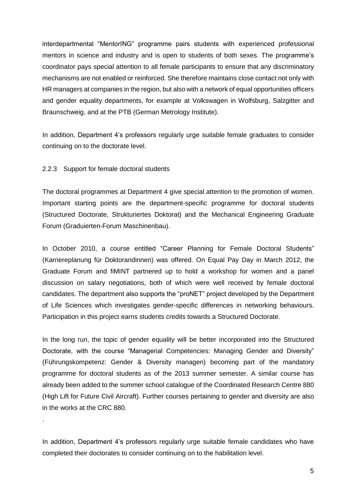interdepartmental "MentorING" programme pairs students with experienced professional mentors in science and industry and is open to students of both sexes. The programme's coordinator pays special attention to all female participants to ensure that any discriminatory mechanisms are not enabled or reinforced. She therefore maintains close contact not only with HR managers at companies in the region, but also with a network of equal opportunities officers and gender equality departments, for example at Volkswagen in Wolfsburg, Salzgitter and Braunschweig, and at the PTB (German Metrology Institute).

In addition, Department 4's professors regularly urge suitable female graduates to consider continuing on to the doctorate level.

#### 2.2.3 Support for female doctoral students

.

The doctoral programmes at Department 4 give special attention to the promotion of women. Important starting points are the department-specific programme for doctoral students (Structured Doctorate, Strukturiertes Doktorat) and the Mechanical Engineering Graduate Forum (Graduierten-Forum Maschinenbau).

In October 2010, a course entitled "Career Planning for Female Doctoral Students" (Karriereplanung für Doktorandinnen) was offered. On Equal Pay Day in March 2012, the Graduate Forum and fiMINT partnered up to hold a workshop for women and a panel discussion on salary negotiations, both of which were well received by female doctoral candidates. The department also supports the "proNET" project developed by the Department of Life Sciences which investigates gender-specific differences in networking behaviours. Participation in this project earns students credits towards a Structured Doctorate.

In the long run, the topic of gender equality will be better incorporated into the Structured Doctorate, with the course "Managerial Competencies: Managing Gender and Diversity" (Führungskompetenz: Gender & Diversity managen) becoming part of the mandatory programme for doctoral students as of the 2013 summer semester. A similar course has already been added to the summer school catalogue of the Coordinated Research Centre 880 (High Lift for Future Civil Aircraft). Further courses pertaining to gender and diversity are also in the works at the CRC 880.

In addition, Department 4's professors regularly urge suitable female candidates who have completed their doctorates to consider continuing on to the habilitation level.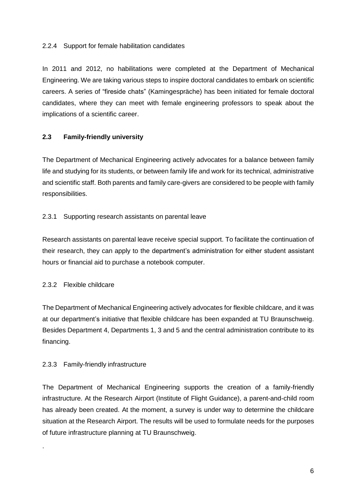## 2.2.4 Support for female habilitation candidates

In 2011 and 2012, no habilitations were completed at the Department of Mechanical Engineering. We are taking various steps to inspire doctoral candidates to embark on scientific careers. A series of "fireside chats" (Kamingespräche) has been initiated for female doctoral candidates, where they can meet with female engineering professors to speak about the implications of a scientific career.

## **2.3 Family-friendly university**

The Department of Mechanical Engineering actively advocates for a balance between family life and studying for its students, or between family life and work for its technical, administrative and scientific staff. Both parents and family care-givers are considered to be people with family responsibilities.

### 2.3.1 Supporting research assistants on parental leave

Research assistants on parental leave receive special support. To facilitate the continuation of their research, they can apply to the department's administration for either student assistant hours or financial aid to purchase a notebook computer.

#### 2.3.2 Flexible childcare

.

The Department of Mechanical Engineering actively advocates for flexible childcare, and it was at our department's initiative that flexible childcare has been expanded at TU Braunschweig. Besides Department 4, Departments 1, 3 and 5 and the central administration contribute to its financing.

#### 2.3.3 Family-friendly infrastructure

The Department of Mechanical Engineering supports the creation of a family-friendly infrastructure. At the Research Airport (Institute of Flight Guidance), a parent-and-child room has already been created. At the moment, a survey is under way to determine the childcare situation at the Research Airport. The results will be used to formulate needs for the purposes of future infrastructure planning at TU Braunschweig.